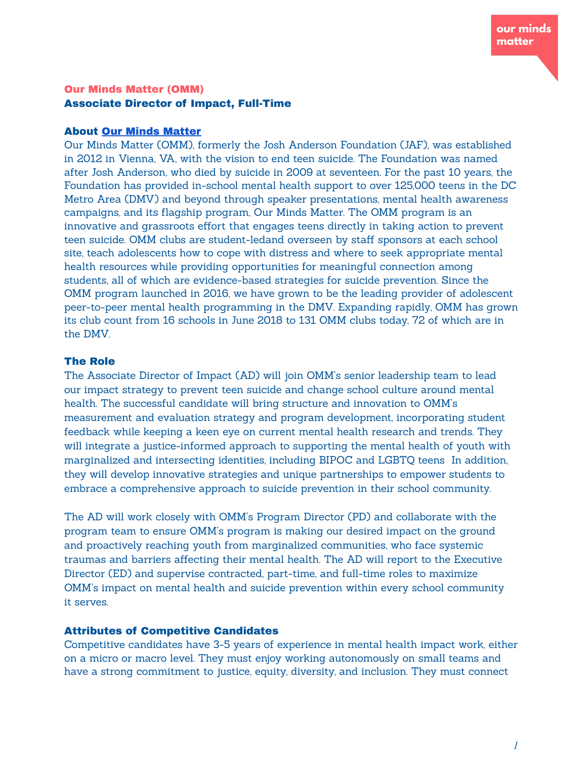# Our Minds Matter (OMM) Associate Director of Impact, Full-Time

### About Our Minds [Matter](https://ourmindsmatter.org/)

Our Minds Matter (OMM), formerly the Josh Anderson Foundation (JAF), was established in 2012 in Vienna, VA, with the vision to end teen suicide. The Foundation was named after Josh Anderson, who died by suicide in 2009 at seventeen. For the past 10 years, the Foundation has provided in-school mental health support to over 125,000 teens in the DC Metro Area (DMV) and beyond through speaker presentations, mental health awareness campaigns, and its flagship program, Our Minds Matter. The OMM program is an innovative and grassroots effort that engages teens directly in taking action to prevent teen suicide. OMM clubs are student-ledand overseen by staff sponsors at each school site, teach adolescents how to cope with distress and where to seek appropriate mental health resources while providing opportunities for meaningful connection among students, all of which are evidence-based strategies for suicide prevention. Since the OMM program launched in 2016, we have grown to be the leading provider of adolescent peer-to-peer mental health programming in the DMV. Expanding rapidly, OMM has grown its club count from 16 schools in June 2018 to 131 OMM clubs today, 72 of which are in the DMV.

### The Role

The Associate Director of Impact (AD) will join OMM's senior leadership team to lead our impact strategy to prevent teen suicide and change school culture around mental health. The successful candidate will bring structure and innovation to OMM's measurement and evaluation strategy and program development, incorporating student feedback while keeping a keen eye on current mental health research and trends. They will integrate a justice-informed approach to supporting the mental health of youth with marginalized and intersecting identities, including BIPOC and LGBTQ teens In addition, they will develop innovative strategies and unique partnerships to empower students to embrace a comprehensive approach to suicide prevention in their school community.

The AD will work closely with OMM's Program Director (PD) and collaborate with the program team to ensure OMM's program is making our desired impact on the ground and proactively reaching youth from marginalized communities, who face systemic traumas and barriers affecting their mental health. The AD will report to the Executive Director (ED) and supervise contracted, part-time, and full-time roles to maximize OMM's impact on mental health and suicide prevention within every school community it serves.

# Attributes of Competitive Candidates

Competitive candidates have 3-5 years of experience in mental health impact work, either on a micro or macro level. They must enjoy working autonomously on small teams and have a strong commitment to justice, equity, diversity, and inclusion. They must connect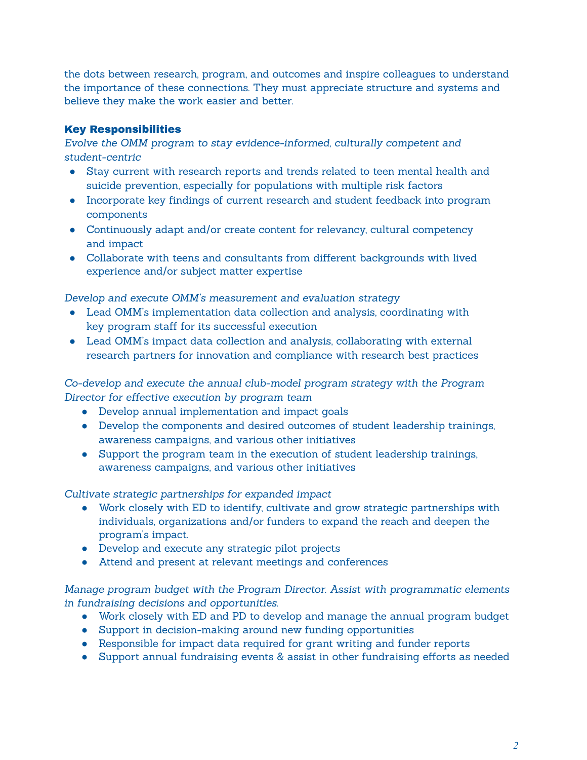the dots between research, program, and outcomes and inspire colleagues to understand the importance of these connections. They must appreciate structure and systems and believe they make the work easier and better.

# Key Responsibilities

*Evolve the OMM program to stay evidence-informed, culturally competent and student-centric*

- Stay current with research reports and trends related to teen mental health and suicide prevention, especially for populations with multiple risk factors
- Incorporate key findings of current research and student feedback into program components
- Continuously adapt and/or create content for relevancy, cultural competency and impact
- Collaborate with teens and consultants from different backgrounds with lived experience and/or subject matter expertise

*Develop and execute OMM's measurement and evaluation strategy*

- Lead OMM's implementation data collection and analysis, coordinating with key program staff for its successful execution
- Lead OMM's impact data collection and analysis, collaborating with external research partners for innovation and compliance with research best practices

*Co-develop and execute the annual club-model program strategy with the Program Director for effective execution by program team*

- Develop annual implementation and impact goals
- Develop the components and desired outcomes of student leadership trainings, awareness campaigns, and various other initiatives
- Support the program team in the execution of student leadership trainings, awareness campaigns, and various other initiatives

*Cultivate strategic partnerships for expanded impact*

- Work closely with ED to identify, cultivate and grow strategic partnerships with individuals, organizations and/or funders to expand the reach and deepen the program's impact.
- Develop and execute any strategic pilot projects
- Attend and present at relevant meetings and conferences

*Manage program budget with the Program Director. Assist with programmatic elements in fundraising decisions and opportunities.*

- Work closely with ED and PD to develop and manage the annual program budget
- Support in decision-making around new funding opportunities
- Responsible for impact data required for grant writing and funder reports
- Support annual fundraising events & assist in other fundraising efforts as needed